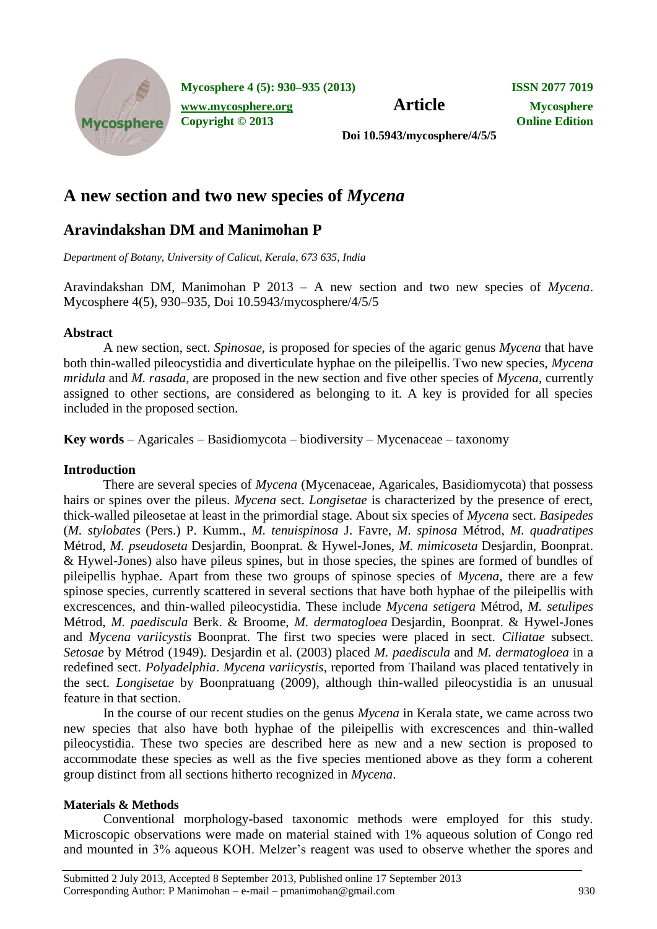

**Mycosphere 4 (5): 930–935 (2013) ISSN 2077 7019**

*[www.mycosphere.org](http://www.mycosphere.org/)* **<b>Article Mycosphere Copyright © 2013 Online Edition**

**Doi 10.5943/mycosphere/4/5/5**

# **A new section and two new species of** *Mycena*

## **Aravindakshan DM and Manimohan P**

*Department of Botany, University of Calicut, Kerala, 673 635, India*

Aravindakshan DM, Manimohan P 2013 – A new section and two new species of *Mycena*. Mycosphere 4(5), 930–935, Doi 10.5943/mycosphere/4/5/5

## **Abstract**

A new section, sect. *Spinosae*, is proposed for species of the agaric genus *Mycena* that have both thin-walled pileocystidia and diverticulate hyphae on the pileipellis. Two new species, *Mycena mridula* and *M. rasada*, are proposed in the new section and five other species of *Mycena*, currently assigned to other sections, are considered as belonging to it. A key is provided for all species included in the proposed section.

**Key words** – Agaricales – Basidiomycota – biodiversity – Mycenaceae – taxonomy

## **Introduction**

There are several species of *Mycena* (Mycenaceae, Agaricales, Basidiomycota) that possess hairs or spines over the pileus. *Mycena* sect. *Longisetae* is characterized by the presence of erect, thick-walled pileosetae at least in the primordial stage. About six species of *Mycena* sect. *Basipedes* (*M. stylobates* (Pers.) P. Kumm., *M. tenuispinosa* J. Favre, *M. spinosa* Métrod, *M. quadratipes* Métrod, *M. pseudoseta* Desjardin, Boonprat. & Hywel-Jones, *M. mimicoseta* Desjardin, Boonprat. & Hywel-Jones) also have pileus spines, but in those species, the spines are formed of bundles of pileipellis hyphae. Apart from these two groups of spinose species of *Mycena*, there are a few spinose species, currently scattered in several sections that have both hyphae of the pileipellis with excrescences, and thin-walled pileocystidia. These include *Mycena setigera* Métrod, *M. setulipes* Métrod, *M. paediscula* Berk. & Broome, *M. dermatogloea* Desjardin, Boonprat. & Hywel-Jones and *Mycena variicystis* Boonprat. The first two species were placed in sect. *Ciliatae* subsect. *Setosae* by Métrod (1949). Desjardin et al. (2003) placed *M. paediscula* and *M. dermatogloea* in a redefined sect. *Polyadelphia*. *Mycena variicystis*, reported from Thailand was placed tentatively in the sect. *Longisetae* by Boonpratuang (2009), although thin-walled pileocystidia is an unusual feature in that section.

In the course of our recent studies on the genus *Mycena* in Kerala state, we came across two new species that also have both hyphae of the pileipellis with excrescences and thin-walled pileocystidia. These two species are described here as new and a new section is proposed to accommodate these species as well as the five species mentioned above as they form a coherent group distinct from all sections hitherto recognized in *Mycena*.

## **Materials & Methods**

Conventional morphology-based taxonomic methods were employed for this study. Microscopic observations were made on material stained with 1% aqueous solution of Congo red and mounted in 3% aqueous KOH. Melzer's reagent was used to observe whether the spores and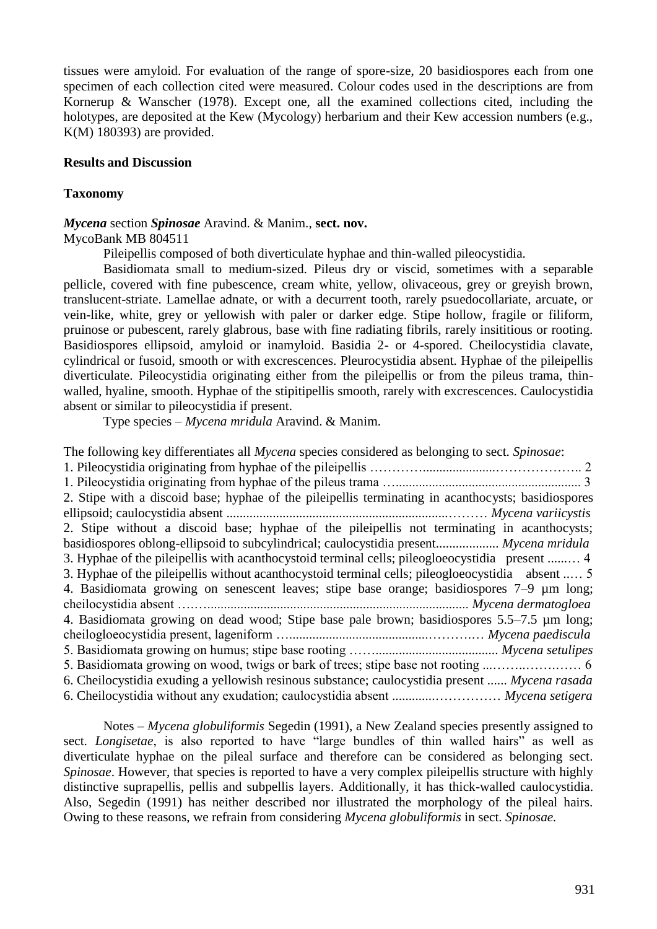tissues were amyloid. For evaluation of the range of spore-size, 20 basidiospores each from one specimen of each collection cited were measured. Colour codes used in the descriptions are from Kornerup & Wanscher (1978). Except one, all the examined collections cited, including the holotypes, are deposited at the Kew (Mycology) herbarium and their Kew accession numbers (e.g., K(M) 180393) are provided.

#### **Results and Discussion**

#### **Taxonomy**

#### *Mycena* section *Spinosae* Aravind. & Manim., **sect. nov.**

#### MycoBank MB 804511

Pileipellis composed of both diverticulate hyphae and thin-walled pileocystidia.

Basidiomata small to medium-sized. Pileus dry or viscid, sometimes with a separable pellicle, covered with fine pubescence, cream white, yellow, olivaceous, grey or greyish brown, translucent-striate. Lamellae adnate, or with a decurrent tooth, rarely psuedocollariate, arcuate, or vein-like, white, grey or yellowish with paler or darker edge. Stipe hollow, fragile or filiform, pruinose or pubescent, rarely glabrous, base with fine radiating fibrils, rarely insititious or rooting. Basidiospores ellipsoid, amyloid or inamyloid. Basidia 2- or 4-spored. Cheilocystidia clavate, cylindrical or fusoid, smooth or with excrescences. Pleurocystidia absent. Hyphae of the pileipellis diverticulate. Pileocystidia originating either from the pileipellis or from the pileus trama, thinwalled, hyaline, smooth. Hyphae of the stipitipellis smooth, rarely with excrescences. Caulocystidia absent or similar to pileocystidia if present.

Type species – *Mycena mridula* Aravind. & Manim.

| The following key differentiates all <i>Mycena</i> species considered as belonging to sect. <i>Spinosae</i> : |
|---------------------------------------------------------------------------------------------------------------|
|                                                                                                               |
|                                                                                                               |
| 2. Stipe with a discoid base; hyphae of the pileipellis terminating in acanthocysts; basidiospores            |
|                                                                                                               |
| 2. Stipe without a discoid base; hyphae of the pileipellis not terminating in acanthocysts;                   |
| basidiospores oblong-ellipsoid to subcylindrical; caulocystidia present Mycena mridula                        |
| 3. Hyphae of the pileipellis with a can thocystoid terminal cells; pileogloeocystidia present  4              |
| 3. Hyphae of the pileipellis without acanthocystoid terminal cells; pileogloeocystidia absent  5              |
| 4. Basidiomata growing on senescent leaves; stipe base orange; basidiospores 7–9 µm long;                     |
|                                                                                                               |
| 4. Basidiomata growing on dead wood; Stipe base pale brown; basidiospores 5.5–7.5 µm long;                    |
|                                                                                                               |
|                                                                                                               |
|                                                                                                               |
| 6. Cheilocystidia exuding a yellowish resinous substance; caulocystidia present  Mycena rasada                |
| 6. Cheilocystidia without any exudation; caulocystidia absent  Mycena setigera                                |

Notes – *Mycena globuliformis* Segedin (1991), a New Zealand species presently assigned to sect. *Longisetae*, is also reported to have "large bundles of thin walled hairs" as well as diverticulate hyphae on the pileal surface and therefore can be considered as belonging sect. *Spinosae*. However, that species is reported to have a very complex pileipellis structure with highly distinctive suprapellis, pellis and subpellis layers. Additionally, it has thick-walled caulocystidia. Also, Segedin (1991) has neither described nor illustrated the morphology of the pileal hairs. Owing to these reasons, we refrain from considering *Mycena globuliformis* in sect. *Spinosae.*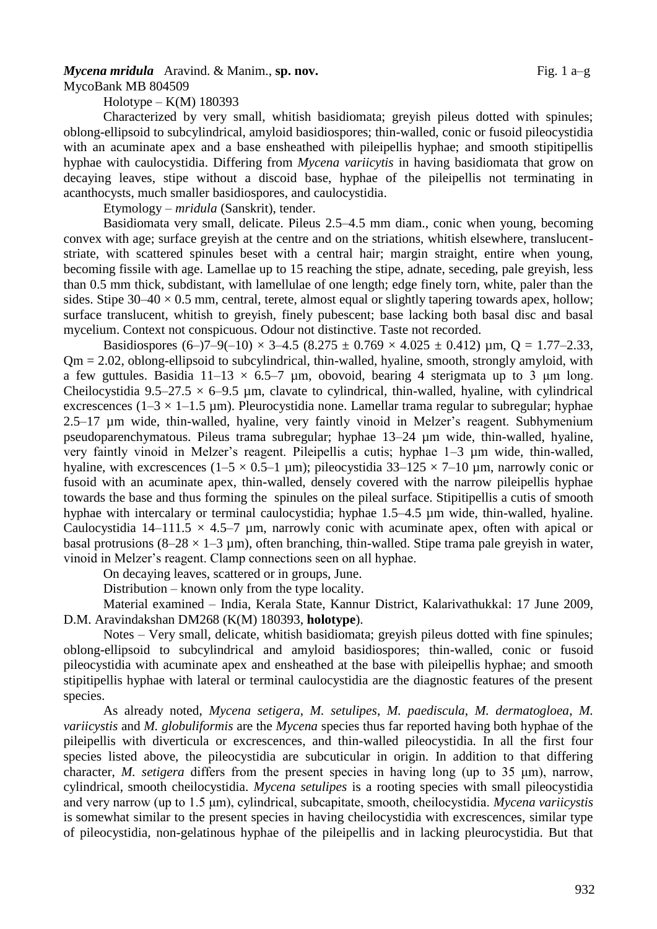# *Mycena mridula* Aravind. & Manim., **sp. nov.** Fig. 1 a–g

MycoBank MB 804509

Holotype – K(M) 180393

Characterized by very small, whitish basidiomata; greyish pileus dotted with spinules; oblong-ellipsoid to subcylindrical, amyloid basidiospores; thin-walled, conic or fusoid pileocystidia with an acuminate apex and a base ensheathed with pileipellis hyphae; and smooth stipitipellis hyphae with caulocystidia. Differing from *Mycena variicytis* in having basidiomata that grow on decaying leaves, stipe without a discoid base, hyphae of the pileipellis not terminating in acanthocysts, much smaller basidiospores, and caulocystidia.

Etymology – *mridula* (Sanskrit), tender.

Basidiomata very small, delicate. Pileus 2.5–4.5 mm diam., conic when young, becoming convex with age; surface greyish at the centre and on the striations, whitish elsewhere, translucentstriate, with scattered spinules beset with a central hair; margin straight, entire when young, becoming fissile with age. Lamellae up to 15 reaching the stipe, adnate, seceding, pale greyish, less than 0.5 mm thick, subdistant, with lamellulae of one length; edge finely torn, white, paler than the sides. Stipe  $30-40 \times 0.5$  mm, central, terete, almost equal or slightly tapering towards apex, hollow; surface translucent, whitish to greyish, finely pubescent; base lacking both basal disc and basal mycelium. Context not conspicuous. Odour not distinctive. Taste not recorded.

Basidiospores  $(6-7-9(-10) \times 3-4.5 (8.275 \pm 0.769 \times 4.025 \pm 0.412) \text{ µm}, Q = 1.77-2.33,$  $Qm = 2.02$ , oblong-ellipsoid to subcylindrical, thin-walled, hyaline, smooth, strongly amyloid, with a few guttules. Basidia  $11-13 \times 6.5-7$  µm, obovoid, bearing 4 sterigmata up to 3 µm long. Cheilocystidia 9.5–27.5  $\times$  6–9.5 µm, clavate to cylindrical, thin-walled, hyaline, with cylindrical excrescences ( $1-3 \times 1-1.5$  µm). Pleurocystidia none. Lamellar trama regular to subregular; hyphae 2.5–17 µm wide, thin-walled, hyaline, very faintly vinoid in Melzer's reagent. Subhymenium pseudoparenchymatous. Pileus trama subregular; hyphae 13–24 µm wide, thin-walled, hyaline, very faintly vinoid in Melzer's reagent. Pileipellis a cutis; hyphae 1–3 µm wide, thin-walled, hyaline, with excrescences ( $1-5 \times 0.5-1$  µm); pileocystidia 33–125  $\times$  7–10 µm, narrowly conic or fusoid with an acuminate apex, thin-walled, densely covered with the narrow pileipellis hyphae towards the base and thus forming the spinules on the pileal surface. Stipitipellis a cutis of smooth hyphae with intercalary or terminal caulocystidia; hyphae 1.5–4.5 µm wide, thin-walled, hyaline. Caulocystidia 14–111.5  $\times$  4.5–7 µm, narrowly conic with acuminate apex, often with apical or basal protrusions  $(8-28 \times 1-3 \text{ µm})$ , often branching, thin-walled. Stipe trama pale grevish in water, vinoid in Melzer's reagent. Clamp connections seen on all hyphae.

On decaying leaves, scattered or in groups, June.

Distribution – known only from the type locality.

Material examined – India, Kerala State, Kannur District, Kalarivathukkal: 17 June 2009, D.M. Aravindakshan DM268 (K(M) 180393, **holotype**).

Notes – Very small, delicate, whitish basidiomata; greyish pileus dotted with fine spinules; oblong-ellipsoid to subcylindrical and amyloid basidiospores; thin-walled, conic or fusoid pileocystidia with acuminate apex and ensheathed at the base with pileipellis hyphae; and smooth stipitipellis hyphae with lateral or terminal caulocystidia are the diagnostic features of the present species.

As already noted, *Mycena setigera*, *M. setulipes*, *M. paediscula*, *M. dermatogloea*, *M. variicystis* and *M. globuliformis* are the *Mycena* species thus far reported having both hyphae of the pileipellis with diverticula or excrescences, and thin-walled pileocystidia. In all the first four species listed above, the pileocystidia are subcuticular in origin. In addition to that differing character, *M. setigera* differs from the present species in having long (up to 35 μm), narrow, cylindrical, smooth cheilocystidia. *Mycena setulipes* is a rooting species with small pileocystidia and very narrow (up to 1.5 μm), cylindrical, subcapitate, smooth, cheilocystidia. *Mycena variicystis* is somewhat similar to the present species in having cheilocystidia with excrescences, similar type of pileocystidia, non-gelatinous hyphae of the pileipellis and in lacking pleurocystidia. But that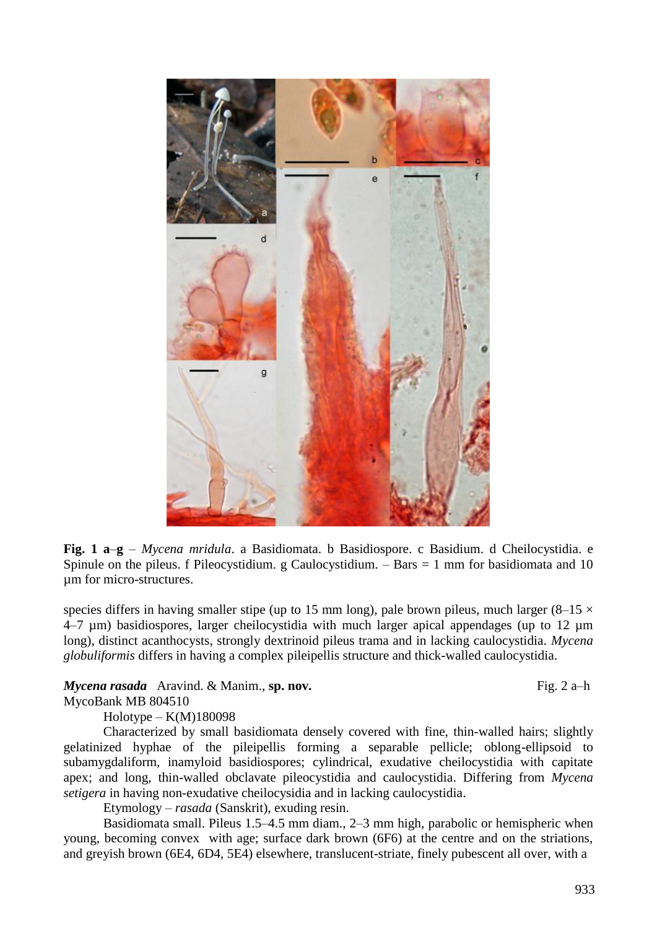

**Fig. 1 a**–**g** – *Mycena mridula*. a Basidiomata. b Basidiospore. c Basidium. d Cheilocystidia. e Spinule on the pileus. f Pileocystidium.  $g$  Caulocystidium.  $-$  Bars  $= 1$  mm for basidiomata and 10 µm for micro-structures.

species differs in having smaller stipe (up to 15 mm long), pale brown pileus, much larger (8–15  $\times$ 4–7 µm) basidiospores, larger cheilocystidia with much larger apical appendages (up to 12 µm long), distinct acanthocysts, strongly dextrinoid pileus trama and in lacking caulocystidia. *Mycena globuliformis* differs in having a complex pileipellis structure and thick-walled caulocystidia.

### *Mycena rasada* Aravind. & Manim., **sp. nov.** Fig. 2 a–h

MycoBank MB 804510

 $Holotype - K(M)180098$ Characterized by small basidiomata densely covered with fine, thin-walled hairs; slightly gelatinized hyphae of the pileipellis forming a separable pellicle; oblong-ellipsoid to subamygdaliform, inamyloid basidiospores; cylindrical, exudative cheilocystidia with capitate apex; and long, thin-walled obclavate pileocystidia and caulocystidia. Differing from *Mycena setigera* in having non-exudative cheilocysidia and in lacking caulocystidia.

Etymology – *rasada* (Sanskrit), exuding resin.

Basidiomata small. Pileus 1.5–4.5 mm diam., 2–3 mm high, parabolic or hemispheric when young, becoming convex with age; surface dark brown (6F6) at the centre and on the striations, and greyish brown (6E4, 6D4, 5E4) elsewhere, translucent-striate, finely pubescent all over, with a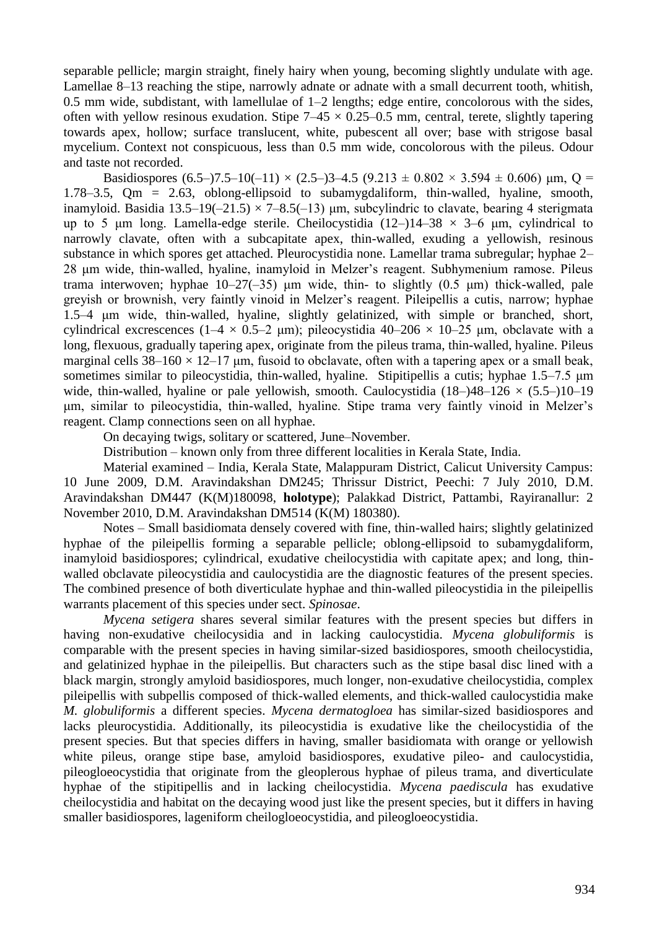separable pellicle; margin straight, finely hairy when young, becoming slightly undulate with age. Lamellae 8–13 reaching the stipe, narrowly adnate or adnate with a small decurrent tooth, whitish, 0.5 mm wide, subdistant, with lamellulae of  $1-2$  lengths; edge entire, concolorous with the sides, often with yellow resinous exudation. Stipe  $7-45 \times 0.25-0.5$  mm, central, terete, slightly tapering towards apex, hollow; surface translucent, white, pubescent all over; base with strigose basal mycelium. Context not conspicuous, less than 0.5 mm wide, concolorous with the pileus. Odour and taste not recorded.

Basidiospores  $(6.5-)7.5-10(-11) \times (2.5-)3-4.5 (9.213 \pm 0.802 \times 3.594 \pm 0.606)$  µm, Q = 1.78–3.5, Qm = 2.63, oblong-ellipsoid to subamygdaliform, thin-walled, hyaline, smooth, inamyloid. Basidia 13.5–19(-21.5)  $\times$  7–8.5(-13)  $\mu$ m, subcylindric to clavate, bearing 4 sterigmata up to 5 μm long. Lamella-edge sterile. Cheilocystidia  $(12-)14-38 \times 3-6$  μm, cylindrical to narrowly clavate, often with a subcapitate apex, thin-walled, exuding a yellowish, resinous substance in which spores get attached. Pleurocystidia none. Lamellar trama subregular; hyphae 2– 28 μm wide, thin-walled, hyaline, inamyloid in Melzer's reagent. Subhymenium ramose. Pileus trama interwoven; hyphae  $10-27(-35)$  μm wide, thin- to slightly  $(0.5 \text{ \mu m})$  thick-walled, pale greyish or brownish, very faintly vinoid in Melzer's reagent. Pileipellis a cutis, narrow; hyphae 1.5–4 μm wide, thin-walled, hyaline, slightly gelatinized, with simple or branched, short, cylindrical excrescences ( $1-4 \times 0.5-2$  µm); pileocystidia  $40-206 \times 10-25$  µm, obclavate with a long, flexuous, gradually tapering apex, originate from the pileus trama, thin-walled, hyaline. Pileus marginal cells  $38-160 \times 12-17$  µm, fusoid to obclavate, often with a tapering apex or a small beak, sometimes similar to pileocystidia, thin-walled, hyaline. Stipitipellis a cutis; hyphae 1.5–7.5 μm wide, thin-walled, hyaline or pale yellowish, smooth. Caulocystidia  $(18-)48-126 \times (5.5-)10-19$ μm, similar to pileocystidia, thin-walled, hyaline. Stipe trama very faintly vinoid in Melzer's reagent. Clamp connections seen on all hyphae.

On decaying twigs, solitary or scattered, June–November.

Distribution – known only from three different localities in Kerala State, India.

Material examined – India, Kerala State, Malappuram District, Calicut University Campus: 10 June 2009, D.M. Aravindakshan DM245; Thrissur District, Peechi: 7 July 2010, D.M. Aravindakshan DM447 (K(M)180098, **holotype**); Palakkad District, Pattambi, Rayiranallur: 2 November 2010, D.M. Aravindakshan DM514 (K(M) 180380).

Notes – Small basidiomata densely covered with fine, thin-walled hairs; slightly gelatinized hyphae of the pileipellis forming a separable pellicle; oblong-ellipsoid to subamygdaliform, inamyloid basidiospores; cylindrical, exudative cheilocystidia with capitate apex; and long, thinwalled obclavate pileocystidia and caulocystidia are the diagnostic features of the present species. The combined presence of both diverticulate hyphae and thin-walled pileocystidia in the pileipellis warrants placement of this species under sect. *Spinosae*.

*Mycena setigera* shares several similar features with the present species but differs in having non-exudative cheilocysidia and in lacking caulocystidia. *Mycena globuliformis* is comparable with the present species in having similar-sized basidiospores, smooth cheilocystidia, and gelatinized hyphae in the pileipellis. But characters such as the stipe basal disc lined with a black margin, strongly amyloid basidiospores, much longer, non-exudative cheilocystidia, complex pileipellis with subpellis composed of thick-walled elements, and thick-walled caulocystidia make *M. globuliformis* a different species. *Mycena dermatogloea* has similar-sized basidiospores and lacks pleurocystidia. Additionally, its pileocystidia is exudative like the cheilocystidia of the present species. But that species differs in having, smaller basidiomata with orange or yellowish white pileus, orange stipe base, amyloid basidiospores, exudative pileo- and caulocystidia, pileogloeocystidia that originate from the gleoplerous hyphae of pileus trama, and diverticulate hyphae of the stipitipellis and in lacking cheilocystidia. *Mycena paediscula* has exudative cheilocystidia and habitat on the decaying wood just like the present species, but it differs in having smaller basidiospores, lageniform cheilogloeocystidia, and pileogloeocystidia.